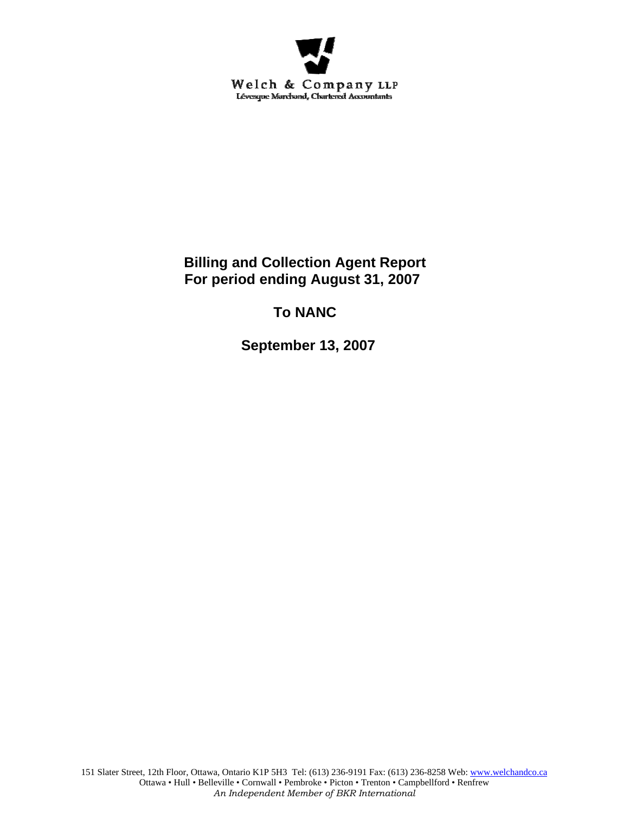

**Billing and Collection Agent Report For period ending August 31, 2007** 

# **To NANC**

 **September 13, 2007**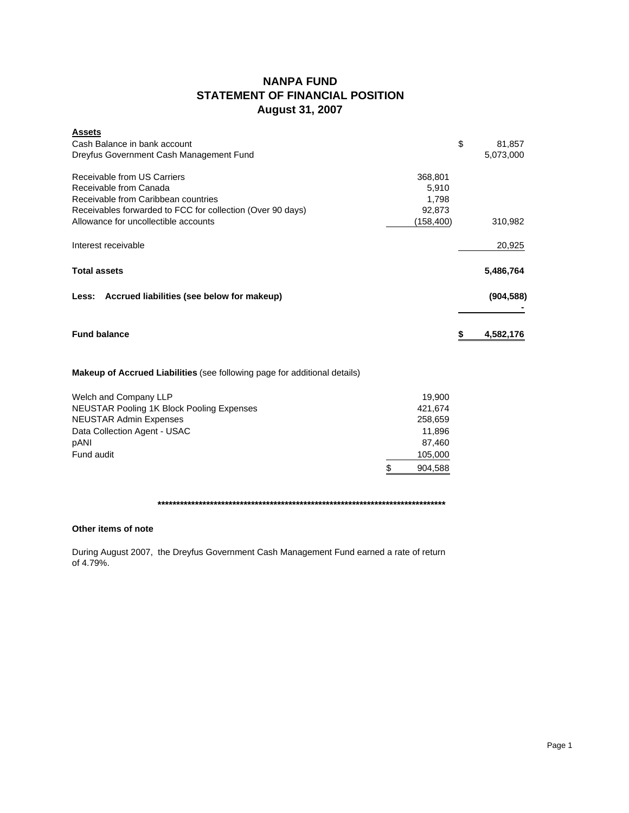## **NANPA FUND STATEMENT OF FINANCIAL POSITION August 31, 2007**

| <b>Assets</b>                                                                    |           |                 |
|----------------------------------------------------------------------------------|-----------|-----------------|
| Cash Balance in bank account                                                     |           | \$<br>81,857    |
| Dreyfus Government Cash Management Fund                                          |           | 5,073,000       |
| Receivable from US Carriers                                                      | 368,801   |                 |
| Receivable from Canada                                                           | 5,910     |                 |
| Receivable from Caribbean countries                                              | 1,798     |                 |
|                                                                                  |           |                 |
| Receivables forwarded to FCC for collection (Over 90 days)                       | 92.873    |                 |
| Allowance for uncollectible accounts                                             | (158,400) | 310,982         |
| Interest receivable                                                              |           | 20,925          |
| <b>Total assets</b>                                                              |           | 5,486,764       |
| Less: Accrued liabilities (see below for makeup)                                 |           | (904, 588)      |
| <b>Fund balance</b>                                                              |           | \$<br>4,582,176 |
|                                                                                  |           |                 |
| <b>Makeup of Accrued Liabilities</b> (see following page for additional details) |           |                 |
| Welch and Company LLP                                                            | 19.900    |                 |
| <b>NEUSTAR Pooling 1K Block Pooling Expenses</b>                                 | 421,674   |                 |

| <b>NEUSTAR Admin Expenses</b> |     | 258,659 |
|-------------------------------|-----|---------|
| Data Collection Agent - USAC  |     | 11.896  |
| pANI                          |     | 87.460  |
| Fund audit                    |     | 105,000 |
|                               | \$. | 904.588 |

### **\*\*\*\*\*\*\*\*\*\*\*\*\*\*\*\*\*\*\*\*\*\*\*\*\*\*\*\*\*\*\*\*\*\*\*\*\*\*\*\*\*\*\*\*\*\*\*\*\*\*\*\*\*\*\*\*\*\*\*\*\*\*\*\*\*\*\*\*\*\*\*\*\*\*\*\*\***

### **Other items of note**

During August 2007, the Dreyfus Government Cash Management Fund earned a rate of return of 4.79%.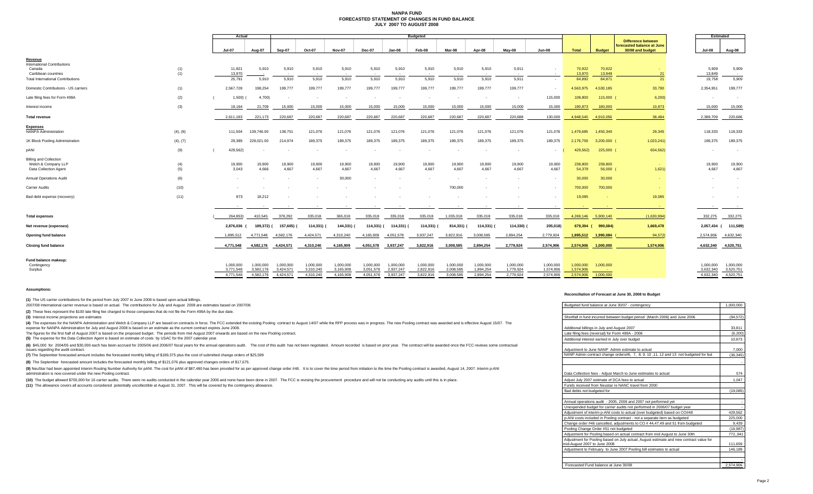#### **NANPA FUND FORECASTED STATEMENT OF CHANGES IN FUND BALANCEJULY 2007 TO AUGUST 2008**

|                                                                               |            | Actual                 |                        | <b>Budgeted</b>        |                        |                        |                        |                        |                        |                          |                        |                        |                        |                        |                             | Estimated                                               |                          |                        |
|-------------------------------------------------------------------------------|------------|------------------------|------------------------|------------------------|------------------------|------------------------|------------------------|------------------------|------------------------|--------------------------|------------------------|------------------------|------------------------|------------------------|-----------------------------|---------------------------------------------------------|--------------------------|------------------------|
|                                                                               |            |                        |                        |                        |                        |                        |                        |                        |                        |                          |                        |                        |                        |                        |                             | <b>Difference between</b><br>forecasted balance at June |                          |                        |
|                                                                               |            | <b>Jul-07</b>          | Aug-07                 | Sep-07                 | Oct-07                 | <b>Nov-07</b>          | Dec-07                 | Jan-08                 | Feb-08                 | Mar-08                   | Apr-08                 | May-08                 | <b>Jun-08</b>          | <b>Total</b>           | <b>Budget</b>               | 30/08 and budget                                        | <b>Jul-08</b>            | Aug-08                 |
| Revenue<br><b>International Contributions</b>                                 |            |                        |                        |                        |                        |                        |                        |                        |                        |                          |                        |                        |                        |                        |                             |                                                         |                          |                        |
| Canada<br>Caribbean countries                                                 | (1)<br>(1) | 11,821<br>13,970       | 5,910                  | 5,910                  | 5,910<br>$\sim$        | 5,910                  | 5,910                  | 5,910                  | 5,910                  | 5,910                    | 5,910                  | 5,911<br>$\sim$        |                        | 70,922<br>13,970       | 70,922<br>13,949            | 21                                                      | 5,909<br>13,849          | 5,909<br>$\sim$ $\sim$ |
| <b>Total International Contributions</b>                                      |            | 25,791                 | 5,910                  | 5,910                  | 5,910                  | 5.910                  | 5,910                  | 5,910                  | 5,910                  | 5,910                    | 5,910                  | 5,911                  |                        | 84,892                 | 84,871                      | 21                                                      | 19,758                   | 5,909                  |
| Domestic Contributions - US carriers                                          | (1)        | 2,567,728              | 198,254                | 199,777                | 199,777                | 199,777                | 199,777                | 199,777                | 199,777                | 199,777                  | 199,777                | 199,777                |                        | 4,563,975              | 4,530,185                   | 33,790                                                  | 2,354,951                | 199,777                |
| Late filing fees for Form 499A                                                | (2)        | 1,500                  | 4,700)                 | $\sim$                 | $\sim$                 | $\sim$                 |                        | $\sim$                 | $\sim$                 | $\overline{\phantom{a}}$ | $\sim$                 | $\sim$                 | 115,000                | 108,800                | 115,000                     | 6,200                                                   | $\overline{\phantom{a}}$ | <b>.</b>               |
| Interest income                                                               | (3)        | 19,164                 | 21,709                 | 15,000                 | 15,000                 | 15,000                 | 15,000                 | 15,000                 | 15,000                 | 15,000                   | 15,000                 | 15,000                 | 15,000                 | 190,873                | 180,000                     | 10,873                                                  | 15,000                   | 15,000                 |
| <b>Total revenue</b>                                                          |            | 2,611,183              | 221,173                | 220,687                | 220,687                | 220,687                | 220,687                | 220,687                | 220,687                | 220,687                  | 220,687                | 220,688                | 130,000                | 4,948,540              | 4,910,056                   | 38,484                                                  | 2,389,709                | 220,686                |
| <b>Expenses</b><br><b>NANPA Administration</b>                                | (4), (8)   | 111,504                | 139,746.00             | 138,751                | 121,076                | 121,076                | 121,076                | 121,076                | 121,076                | 121,076                  | 121,076                | 121,076                | 121,076                | 1,479,685              | 1,450,340                   | 29,345                                                  | 118,333                  | 118,333                |
| 1K Block Pooling Administration                                               | (4), (7)   | 29,389                 | 228,021.00             | 214,974                | 189,375                | 189,375                | 189,375                | 189,375                | 189,375                | 189,375                  | 189,375                | 189,375                | 189,375                | 2,176,759              | 3,200,000 (                 | 1,023,241                                               | 189,375                  | 189,375                |
| pANI                                                                          | (9)        | 429,562)               |                        |                        |                        |                        |                        |                        |                        |                          |                        | $\sim$                 |                        | 429,562)               | 225,000 (                   | 654,562)                                                | $\overline{\phantom{a}}$ | $\sim$                 |
| <b>Billing and Collection</b><br>Welch & Company LLP<br>Data Collection Agent | (4)<br>(5) | 19,900<br>3,043        | 19,900<br>4,666        | 19,900<br>4,667        | 19,900<br>4,667        | 19,900<br>4.667        | 19,900<br>4,667        | 19,900<br>4,667        | 19,900<br>4,667        | 19,900<br>4,667          | 19,900<br>4,667        | 19,900<br>4,667        | 19,900<br>4,667        | 238,800<br>54,379      | 238,800<br>56,000           | 1,621                                                   | 19,900<br>4,667          | 19,900<br>4,667        |
| Annual Operations Audit                                                       | (6)        |                        |                        |                        | $\sim$                 | 30,000                 |                        |                        |                        |                          |                        |                        |                        | 30,000                 | 30,000                      |                                                         | $\overline{\phantom{a}}$ |                        |
| <b>Carrier Audits</b>                                                         | (10)       |                        |                        |                        |                        |                        |                        |                        |                        | 700,000                  |                        |                        |                        | 700,000                | 700,000                     |                                                         |                          | $\sim$                 |
| Bad debt expense (recovery)                                                   | (11)       | 873                    | 18,212                 |                        |                        |                        |                        |                        |                        | $\sim$                   |                        |                        |                        | 19,085                 | $\sim$                      | 19,085                                                  |                          | $\sim$                 |
|                                                                               |            | $\sim$                 | $\sim$                 | $\sim$                 | $\sim$ $-$             |                        | $\sim$                 | $\sim$                 | $\sim$                 | $\sim$                   | $\sim$                 | $\sim$                 | $\sim$                 |                        | n an                        |                                                         | $\sim$                   | $\sim$ 100 $\pm$       |
| <b>Total expenses</b>                                                         |            | 264,853)               | 410,545                | 378,292                | 335,018                | 365,018                | 335,018                | 335,018                | 335,018                | 1,035,018                | 335,018                | 335,018                | 335,018                | 4,269,146              | 5,900,140                   | (1,630,994)                                             | 332,275                  | 332,275                |
| Net revenue (expenses)                                                        |            | 2,876,036              | 189,372)               | 157,605)               | 114,331) (             | 144,331) (             | $114,331$ ) (          | 114,331) (             | 114,331)               | 814,331) (               | 114,331) (             | 114,330)               | 205,018)               | 679,394 (              | 990,084)                    | 1,669,478                                               |                          | 2,057,434 ( 111,589)   |
| Opening fund balance                                                          |            | 1,895,512              | 4,771,548              | 4,582,176              | 4,424,571              | 4,310,240              | 4,165,909              | 4,051,578              | 3,937,247              | 3,822,916                | 3,008,585              | 2,894,254              | 2,779,924              | 1,895,512              | 1,990,084                   | 94,572)                                                 | 2,574,906                | 4,632,340              |
| <b>Closing fund balance</b>                                                   |            | 4,771,548              | 4,582,176              | 4,424,571              | 4,310,240              | 4,165,909              | 4,051,578              | 3,937,247              | 3,822,916              | 3,008,585                | 2,894,254              | 2,779,924              | 2,574,906              | 2,574,906              | 1,000,000                   | 1,574,906                                               | 4,632,340                | 4,520,751              |
| Fund balance makeup:                                                          |            |                        |                        |                        |                        |                        |                        |                        |                        |                          |                        |                        |                        |                        |                             |                                                         |                          |                        |
| Contingency<br>Surplus                                                        |            | 1.000.000<br>3.771.548 | 1.000.000<br>3,582,176 | 1.000.000<br>3.424.571 | 1,000,000<br>3,310,240 | 1.000.000<br>3.165.909 | 1,000,000<br>3.051.578 | 1,000,000<br>2,937,247 | 1,000,000<br>2,822,916 | 1,000,000<br>2.008.585   | 1,000,000<br>1,894,254 | 1,000,000<br>1.779.924 | 1,000,000<br>1,574,906 | 1,000,000<br>1.574.906 | 1,000,000<br><b>College</b> |                                                         | 1.000.000<br>3.632.340   | 1,000,000<br>3,520,751 |
|                                                                               |            | 4.771.548              | 4.582.176              | 4.424.571              | 4.310.240              | 4.165.909              | 4.051.578              | 3.937.247              | 3.822.916              | 3.008.585                | 2.894.254              | 2,779,924              | 2.574.906              | 2,574,906              | 1.000.000                   |                                                         | 4.632.340                | 4,520,751              |

#### **Assumptions:**

**(1)** The US carrier contributions for the period from July 2007 to June 2008 is based upon actual billings.

to 2007/08 International carrier revenue is based on actual. The contributions for July and August 2008 are estimates based on 2007/08.

#### **Reconciliation of Forecast at June 30, 2008 to Budget**

| 2007/08 International carrier revenue is based on actual. The contributions for July and August 2008 are estimates based on 2007/08.                                                                                                                                                                                                                           | Budgeted fund balance at June 30/07 - contingency                                       | 1.000.000 |
|----------------------------------------------------------------------------------------------------------------------------------------------------------------------------------------------------------------------------------------------------------------------------------------------------------------------------------------------------------------|-----------------------------------------------------------------------------------------|-----------|
| (2) These fees represent the \$100 late filing fee charged to those companies that do not file the Form 499A by the due date.                                                                                                                                                                                                                                  |                                                                                         |           |
| (3) Interest income projections are estimates                                                                                                                                                                                                                                                                                                                  | Shortfall in fund incurred between budget period (March 2006) and June 2006             | (94.572)  |
| (4) The expenses for the NANPA Administration and Welch & Company LLP are based on contracts in force. The FCC extended the existing Pooling contract to August 14/07 while the RFP process was in progress. The new Pooling c<br>expense for NANPA Administration for July and August 2008 is based on an estimate as the current contract expires June 2008. | Additional billings in July and August 2007                                             | 33,811    |
| The figures for the first half of August 2007 is based on the proposed budget. The periods from mid August 2007 onwards are based on the new Pooling contract.                                                                                                                                                                                                 | Late filing fees (reversal) for Form 499A - 2006                                        | (6.200)   |
| (5) The expense for the Data Collection Agent is based on estimate of costs by USAC for the 2007 calendar year.                                                                                                                                                                                                                                                | Additional interest earned in July over budget                                          | 10,873    |
| (6) \$45,000 for 2004/05 and \$30,000 each has been accrued for 2005/06 and 2006/07 fiscal years for the annual operations audit. The cost of this audit has not been negotiated. Amount recorded is based on prior year. The co<br>issues regarding the audit contract.                                                                                       | Adjustment to June NANP Admin estimate to actual                                        | 7.000     |
| (7) The September forecasted amount includes the forecasted monthly billing of \$189,375 plus the cost of submitted change orders of \$25,599                                                                                                                                                                                                                  | NANP Admin contract change orders#6, 7, 8, 9, 10, 11, 12 and 13 not budgeted for but    | (36.345)  |
| (8) The September forecasted amount includes the forecasted monthly billing of \$121,076 plus approved changes orders of \$17,675.                                                                                                                                                                                                                             |                                                                                         |           |
| (9) NeuStar had been appointed Interim Routing Number Authority for pANI. The cost for pANI of \$87,460 has been provided for as per approved change order #48. It is to cover the time period from initiation to the time the<br>administration is now covered under the new Pooling contract.                                                                | Data Collection fees - Adjust March to June estimates to actual                         | 574       |
| (10) The budget allowed \$700,000 for 16 carrier audits. There were no audits conducted in the calendar year 2006 and none have been done in 2007. The FCC is revising the procurement procedure and will not be conducting any                                                                                                                                | Adjust July 2007 estimate of DCA fees to actual                                         | 1.047     |
| (11) The allowance covers all accounts considered potentially uncollectible at August 31, 2007. This will be covered by the contingency allowance.                                                                                                                                                                                                             | Funds received from Neustar re NANC travel from 2000                                    |           |
|                                                                                                                                                                                                                                                                                                                                                                | Bad debts not budgeted for                                                              | (19,085)  |
|                                                                                                                                                                                                                                                                                                                                                                |                                                                                         |           |
|                                                                                                                                                                                                                                                                                                                                                                | Annual operations audit - 2005, 2006 and 2007 not performed yet                         |           |
|                                                                                                                                                                                                                                                                                                                                                                | Unexpended budget for carrier audits not performed in 2006/07 budget year               |           |
|                                                                                                                                                                                                                                                                                                                                                                | Adjustment of interim p-ANI costs to actual (over budgeted) based on CO#48              | 429.562   |
|                                                                                                                                                                                                                                                                                                                                                                | p-ANI costs included in Pooling contract - not a separate item as budgeted              | 225,000   |
|                                                                                                                                                                                                                                                                                                                                                                | Change order #46 cancelled, adjustments to CO #44,47,49 and 51 from budgeted            | 9.439     |
|                                                                                                                                                                                                                                                                                                                                                                | Pooling Change Order #51 not budgeted                                                   | (16.987)  |
|                                                                                                                                                                                                                                                                                                                                                                | Adjustment for Pooling based on actual contract from mid August to June 30th            | 772.941   |
|                                                                                                                                                                                                                                                                                                                                                                | Adjustment for Pooling based on July actual, August estimate and new contract value for |           |
|                                                                                                                                                                                                                                                                                                                                                                | mid-August 2007 to June 2008                                                            | 111.659   |
|                                                                                                                                                                                                                                                                                                                                                                | Adjustment to February to June 2007 Pooling bill estimates to actual                    | 146,189   |
|                                                                                                                                                                                                                                                                                                                                                                |                                                                                         |           |
|                                                                                                                                                                                                                                                                                                                                                                | Forecasted Fund balance at June 30/08                                                   | 2.574.906 |